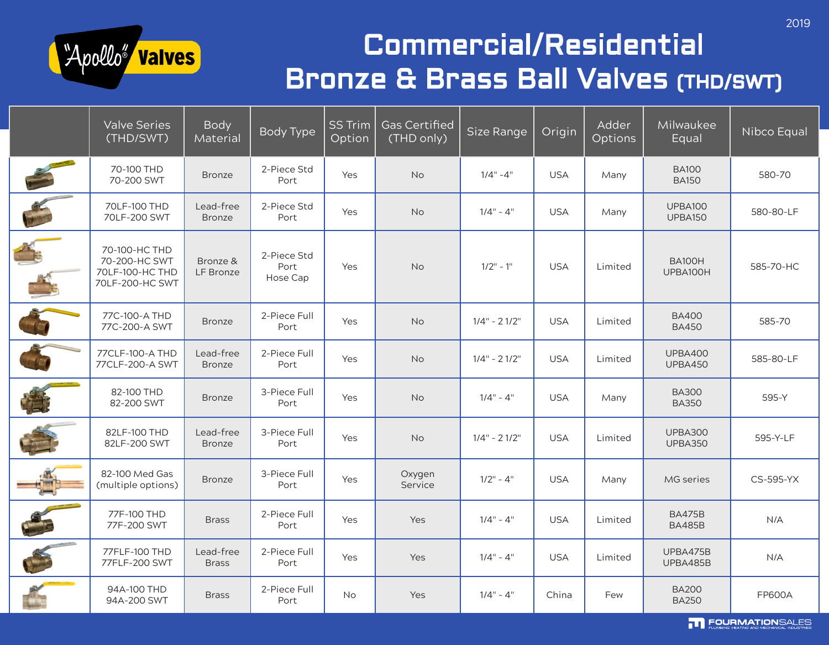

## Commercial/Residential Bronze & Brass Ball Valves (THD/SWT) 2019

| <b>Valve Series</b><br>(THD/SWT)                                     | <b>Body</b><br>Material    | <b>Body Type</b>                | <b>SS Trim</b><br>Option | <b>Gas Certified</b><br>(THD only) | Size Range     | Origin     | Adder<br>Options | Milwaukee<br>$\overline{\mathsf{Equal}}$ | Nibco Equal   |
|----------------------------------------------------------------------|----------------------------|---------------------------------|--------------------------|------------------------------------|----------------|------------|------------------|------------------------------------------|---------------|
| 70-100 THD<br>70-200 SWT                                             | <b>Bronze</b>              | 2-Piece Std<br>Port             | Yes                      | <b>No</b>                          | $1/4" - 4"$    | <b>USA</b> | Many             | <b>BA100</b><br><b>BA150</b>             | 580-70        |
| 70LF-100 THD<br>70LF-200 SWT                                         | Lead-free<br><b>Bronze</b> | 2-Piece Std<br>Port             | Yes                      | <b>No</b>                          | $1/4" - 4"$    | <b>USA</b> | Many             | <b>UPBA100</b><br>UPBA150                | 580-80-LF     |
| 70-100-HC THD<br>70-200-HC SWT<br>70LF-100-HC THD<br>70LF-200-HC SWT | Bronze &<br>LF Bronze      | 2-Piece Std<br>Port<br>Hose Cap | Yes                      | <b>No</b>                          | $1/2" - 1"$    | <b>USA</b> | Limited          | <b>BA100H</b><br>UPBA100H                | 585-70-HC     |
| 77C-100-A THD<br>77C-200-A SWT                                       | <b>Bronze</b>              | 2-Piece Full<br>Port            | Yes                      | No                                 | $1/4" - 21/2"$ | <b>USA</b> | Limited          | <b>BA400</b><br><b>BA450</b>             | 585-70        |
| 77CLF-100-A THD<br>77CLF-200-A SWT                                   | Lead-free<br><b>Bronze</b> | 2-Piece Full<br>Port            | Yes                      | No                                 | $1/4" - 21/2"$ | <b>USA</b> | Limited          | UPBA400<br>UPBA450                       | 585-80-LF     |
| 82-100 THD<br>82-200 SWT                                             | <b>Bronze</b>              | 3-Piece Full<br>Port            | Yes                      | No                                 | $1/4" - 4"$    | <b>USA</b> | Many             | <b>BA300</b><br><b>BA350</b>             | 595-Y         |
| 82LF-100 THD<br>82LF-200 SWT                                         | Lead-free<br><b>Bronze</b> | 3-Piece Full<br>Port            | Yes                      | No                                 | $1/4" - 21/2"$ | <b>USA</b> | Limited          | <b>UPBA300</b><br>UPBA350                | 595-Y-LF      |
| 82-100 Med Gas<br>(multiple options)                                 | <b>Bronze</b>              | 3-Piece Full<br>Port            | Yes                      | Oxygen<br>Service                  | $1/2" - 4"$    | <b>USA</b> | Many             | MG series                                | CS-595-YX     |
| 77F-100 THD<br>77F-200 SWT                                           | <b>Brass</b>               | 2-Piece Full<br>Port            | Yes                      | Yes                                | $1/4" - 4"$    | <b>USA</b> | Limited          | <b>BA475B</b><br><b>BA485B</b>           | N/A           |
| 77FLF-100 THD<br>77FLF-200 SWT                                       | Lead-free<br><b>Brass</b>  | 2-Piece Full<br>Port            | Yes                      | Yes                                | $1/4" - 4"$    | <b>USA</b> | Limited          | UPBA475B<br>UPBA485B                     | N/A           |
| 94A-100 THD<br>94A-200 SWT                                           | <b>Brass</b>               | 2-Piece Full<br>Port            | No                       | Yes                                | $1/4" - 4"$    | China      | Few              | <b>BA200</b><br><b>BA250</b>             | <b>FP600A</b> |